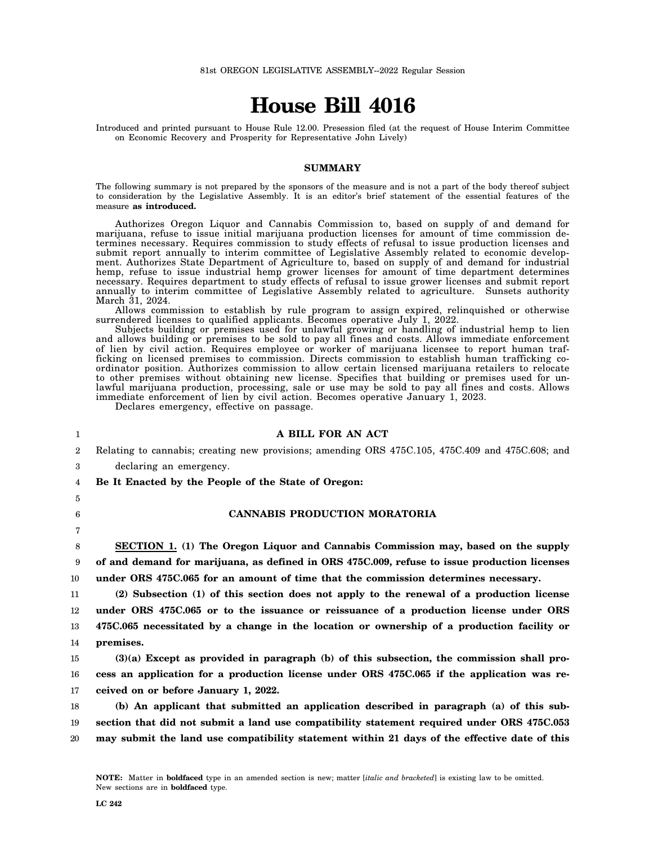# **House Bill 4016**

Introduced and printed pursuant to House Rule 12.00. Presession filed (at the request of House Interim Committee on Economic Recovery and Prosperity for Representative John Lively)

#### **SUMMARY**

The following summary is not prepared by the sponsors of the measure and is not a part of the body thereof subject to consideration by the Legislative Assembly. It is an editor's brief statement of the essential features of the measure **as introduced.**

Authorizes Oregon Liquor and Cannabis Commission to, based on supply of and demand for marijuana, refuse to issue initial marijuana production licenses for amount of time commission determines necessary. Requires commission to study effects of refusal to issue production licenses and submit report annually to interim committee of Legislative Assembly related to economic development. Authorizes State Department of Agriculture to, based on supply of and demand for industrial hemp, refuse to issue industrial hemp grower licenses for amount of time department determines necessary. Requires department to study effects of refusal to issue grower licenses and submit report annually to interim committee of Legislative Assembly related to agriculture. Sunsets authority March 31, 2024.

Allows commission to establish by rule program to assign expired, relinquished or otherwise surrendered licenses to qualified applicants. Becomes operative July 1, 2022.

Subjects building or premises used for unlawful growing or handling of industrial hemp to lien and allows building or premises to be sold to pay all fines and costs. Allows immediate enforcement of lien by civil action. Requires employee or worker of marijuana licensee to report human trafficking on licensed premises to commission. Directs commission to establish human trafficking coordinator position. Authorizes commission to allow certain licensed marijuana retailers to relocate to other premises without obtaining new license. Specifies that building or premises used for unlawful marijuana production, processing, sale or use may be sold to pay all fines and costs. Allows immediate enforcement of lien by civil action. Becomes operative January 1, 2023.

Declares emergency, effective on passage.

#### **A BILL FOR AN ACT**

2 Relating to cannabis; creating new provisions; amending ORS 475C.105, 475C.409 and 475C.608; and

- 3 declaring an emergency.
- 4 **Be It Enacted by the People of the State of Oregon:**
- 5

1

6

7

## **CANNABIS PRODUCTION MORATORIA**

8 9 10 **SECTION 1. (1) The Oregon Liquor and Cannabis Commission may, based on the supply of and demand for marijuana, as defined in ORS 475C.009, refuse to issue production licenses under ORS 475C.065 for an amount of time that the commission determines necessary.**

11 12 13 14 **(2) Subsection (1) of this section does not apply to the renewal of a production license under ORS 475C.065 or to the issuance or reissuance of a production license under ORS 475C.065 necessitated by a change in the location or ownership of a production facility or premises.**

15 16 17 **(3)(a) Except as provided in paragraph (b) of this subsection, the commission shall process an application for a production license under ORS 475C.065 if the application was received on or before January 1, 2022.**

18 19 20 **(b) An applicant that submitted an application described in paragraph (a) of this subsection that did not submit a land use compatibility statement required under ORS 475C.053 may submit the land use compatibility statement within 21 days of the effective date of this**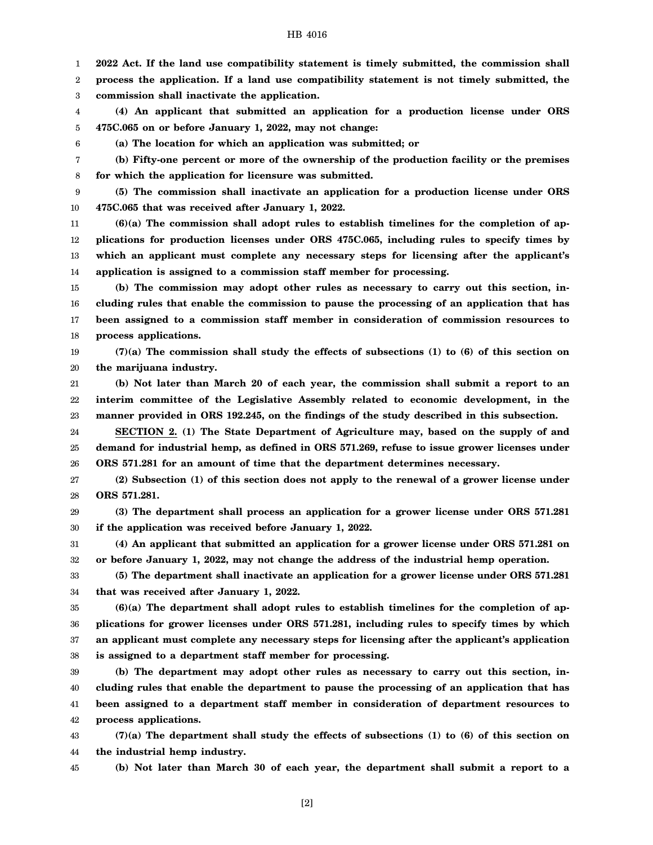1 **2022 Act. If the land use compatibility statement is timely submitted, the commission shall**

2 3 **process the application. If a land use compatibility statement is not timely submitted, the commission shall inactivate the application.**

4 5 **(4) An applicant that submitted an application for a production license under ORS 475C.065 on or before January 1, 2022, may not change:**

6

**(a) The location for which an application was submitted; or**

7 8 **(b) Fifty-one percent or more of the ownership of the production facility or the premises for which the application for licensure was submitted.**

9 10 **(5) The commission shall inactivate an application for a production license under ORS 475C.065 that was received after January 1, 2022.**

11 12 13 14 **(6)(a) The commission shall adopt rules to establish timelines for the completion of applications for production licenses under ORS 475C.065, including rules to specify times by which an applicant must complete any necessary steps for licensing after the applicant's application is assigned to a commission staff member for processing.**

15 16 17 18 **(b) The commission may adopt other rules as necessary to carry out this section, including rules that enable the commission to pause the processing of an application that has been assigned to a commission staff member in consideration of commission resources to process applications.**

19 20 **(7)(a) The commission shall study the effects of subsections (1) to (6) of this section on the marijuana industry.**

21 22 23 **(b) Not later than March 20 of each year, the commission shall submit a report to an interim committee of the Legislative Assembly related to economic development, in the manner provided in ORS 192.245, on the findings of the study described in this subsection.**

24 25 26 **SECTION 2. (1) The State Department of Agriculture may, based on the supply of and demand for industrial hemp, as defined in ORS 571.269, refuse to issue grower licenses under ORS 571.281 for an amount of time that the department determines necessary.**

27 28 **(2) Subsection (1) of this section does not apply to the renewal of a grower license under ORS 571.281.**

29 30 **(3) The department shall process an application for a grower license under ORS 571.281 if the application was received before January 1, 2022.**

31 32 **(4) An applicant that submitted an application for a grower license under ORS 571.281 on or before January 1, 2022, may not change the address of the industrial hemp operation.**

33 34 **(5) The department shall inactivate an application for a grower license under ORS 571.281 that was received after January 1, 2022.**

35 36 37 38 **(6)(a) The department shall adopt rules to establish timelines for the completion of applications for grower licenses under ORS 571.281, including rules to specify times by which an applicant must complete any necessary steps for licensing after the applicant's application is assigned to a department staff member for processing.**

39 40 41 42 **(b) The department may adopt other rules as necessary to carry out this section, including rules that enable the department to pause the processing of an application that has been assigned to a department staff member in consideration of department resources to process applications.**

43 44 **(7)(a) The department shall study the effects of subsections (1) to (6) of this section on the industrial hemp industry.**

45

**(b) Not later than March 30 of each year, the department shall submit a report to a**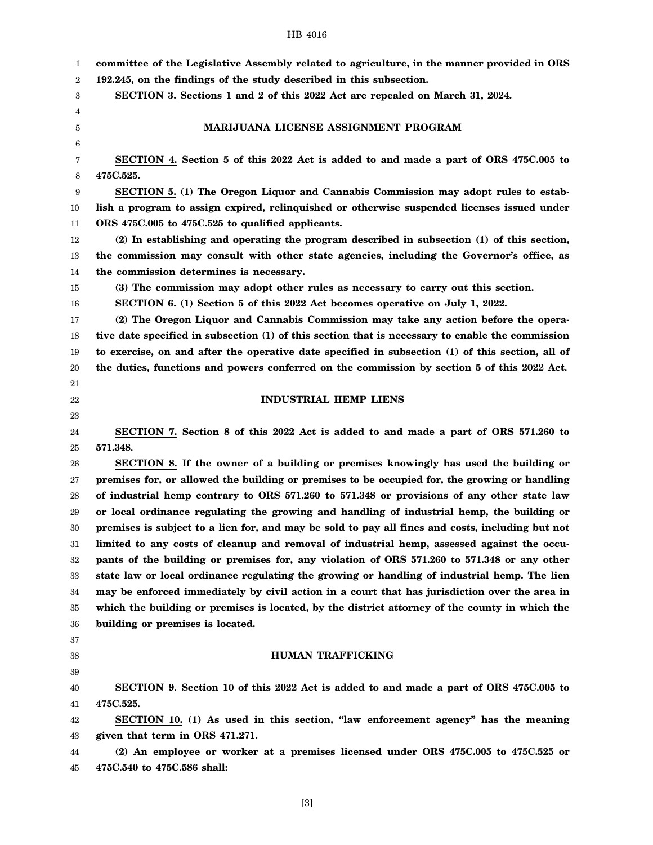| 1                | committee of the Legislative Assembly related to agriculture, in the manner provided in ORS      |
|------------------|--------------------------------------------------------------------------------------------------|
| $\boldsymbol{2}$ | 192.245, on the findings of the study described in this subsection.                              |
| 3                | SECTION 3. Sections 1 and 2 of this 2022 Act are repealed on March 31, 2024.                     |
| 4                |                                                                                                  |
| 5                | MARIJUANA LICENSE ASSIGNMENT PROGRAM                                                             |
| 6                |                                                                                                  |
| 7                | SECTION 4. Section 5 of this 2022 Act is added to and made a part of ORS 475C.005 to             |
| 8                | 475C.525.                                                                                        |
| 9                | <b>SECTION 5.</b> (1) The Oregon Liquor and Cannabis Commission may adopt rules to estab-        |
| 10               | lish a program to assign expired, relinquished or otherwise suspended licenses issued under      |
| 11               | ORS 475C.005 to 475C.525 to qualified applicants.                                                |
| 12               | (2) In establishing and operating the program described in subsection (1) of this section,       |
| 13               | the commission may consult with other state agencies, including the Governor's office, as        |
| 14               | the commission determines is necessary.                                                          |
| 15               | (3) The commission may adopt other rules as necessary to carry out this section.                 |
| 16               | SECTION 6. (1) Section 5 of this 2022 Act becomes operative on July 1, 2022.                     |
| 17               | (2) The Oregon Liquor and Cannabis Commission may take any action before the opera-              |
| 18               | tive date specified in subsection (1) of this section that is necessary to enable the commission |
| 19               | to exercise, on and after the operative date specified in subsection (1) of this section, all of |
| 20               | the duties, functions and powers conferred on the commission by section 5 of this 2022 Act.      |
| 21               |                                                                                                  |
| 22               | <b>INDUSTRIAL HEMP LIENS</b>                                                                     |
| 23               |                                                                                                  |
| 24               | SECTION 7. Section 8 of this 2022 Act is added to and made a part of ORS 571.260 to              |
| 25               | 571.348.                                                                                         |
| 26               | SECTION 8. If the owner of a building or premises knowingly has used the building or             |
| 27               | premises for, or allowed the building or premises to be occupied for, the growing or handling    |
| 28               | of industrial hemp contrary to ORS 571.260 to 571.348 or provisions of any other state law       |
| 29               | or local ordinance regulating the growing and handling of industrial hemp, the building or       |
| 30               | premises is subject to a lien for, and may be sold to pay all fines and costs, including but not |
| 31               | limited to any costs of cleanup and removal of industrial hemp, assessed against the occu-       |
| 32               | pants of the building or premises for, any violation of ORS 571.260 to 571.348 or any other      |
| 33               | state law or local ordinance regulating the growing or handling of industrial hemp. The lien     |
| 34               | may be enforced immediately by civil action in a court that has jurisdiction over the area in    |
| 35               | which the building or premises is located, by the district attorney of the county in which the   |
| 36               | building or premises is located.                                                                 |
| 37               |                                                                                                  |
| 38               | <b>HUMAN TRAFFICKING</b>                                                                         |
| 39               |                                                                                                  |
| 40               | SECTION 9. Section 10 of this 2022 Act is added to and made a part of ORS 475C.005 to            |
| 41               | 475C.525.                                                                                        |
| 42               | SECTION 10. (1) As used in this section, "law enforcement agency" has the meaning                |
| 43               | given that term in ORS 471.271.                                                                  |
| 44               | (2) An employee or worker at a premises licensed under ORS 475C.005 to 475C.525 or               |
| 45               | 475C.540 to 475C.586 shall:                                                                      |
|                  |                                                                                                  |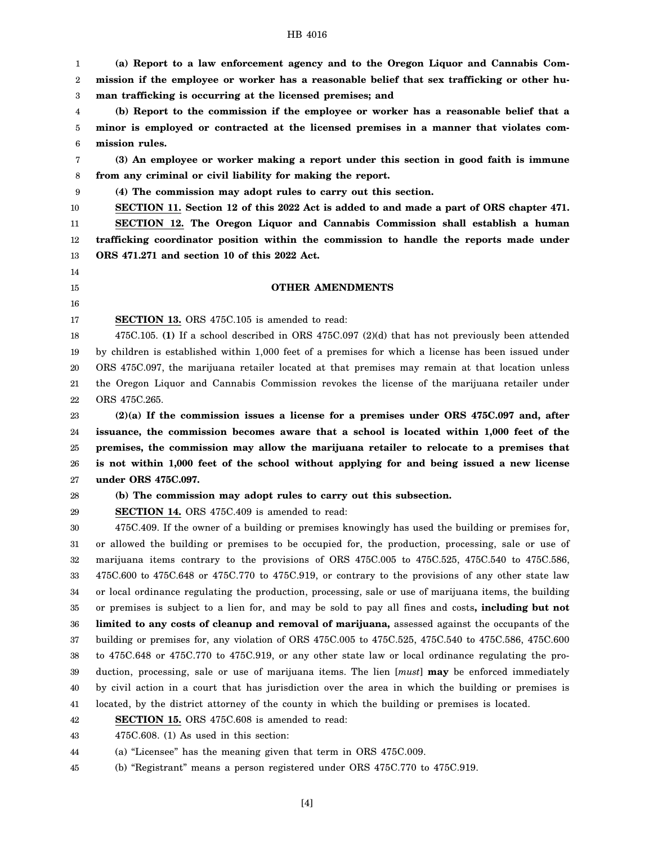1 2 3 **(a) Report to a law enforcement agency and to the Oregon Liquor and Cannabis Commission if the employee or worker has a reasonable belief that sex trafficking or other human trafficking is occurring at the licensed premises; and**

4 5 6 **(b) Report to the commission if the employee or worker has a reasonable belief that a minor is employed or contracted at the licensed premises in a manner that violates commission rules.**

7 8 **(3) An employee or worker making a report under this section in good faith is immune from any criminal or civil liability for making the report.**

9 **(4) The commission may adopt rules to carry out this section.**

10 **SECTION 11. Section 12 of this 2022 Act is added to and made a part of ORS chapter 471.**

11 12 13 **SECTION 12. The Oregon Liquor and Cannabis Commission shall establish a human trafficking coordinator position within the commission to handle the reports made under ORS 471.271 and section 10 of this 2022 Act.**

14

## 15 16

17

## **OTHER AMENDMENTS**

**SECTION 13.** ORS 475C.105 is amended to read:

18 19 20 21 22 475C.105. **(1)** If a school described in ORS 475C.097 (2)(d) that has not previously been attended by children is established within 1,000 feet of a premises for which a license has been issued under ORS 475C.097, the marijuana retailer located at that premises may remain at that location unless the Oregon Liquor and Cannabis Commission revokes the license of the marijuana retailer under ORS 475C.265.

23 24 25 26 27 **(2)(a) If the commission issues a license for a premises under ORS 475C.097 and, after issuance, the commission becomes aware that a school is located within 1,000 feet of the premises, the commission may allow the marijuana retailer to relocate to a premises that is not within 1,000 feet of the school without applying for and being issued a new license under ORS 475C.097.**

## 28

**(b) The commission may adopt rules to carry out this subsection.**

29 **SECTION 14.** ORS 475C.409 is amended to read:

30 31 32 33 34 35 36 37 38 39 40 41 475C.409. If the owner of a building or premises knowingly has used the building or premises for, or allowed the building or premises to be occupied for, the production, processing, sale or use of marijuana items contrary to the provisions of ORS 475C.005 to 475C.525, 475C.540 to 475C.586, 475C.600 to 475C.648 or 475C.770 to 475C.919, or contrary to the provisions of any other state law or local ordinance regulating the production, processing, sale or use of marijuana items, the building or premises is subject to a lien for, and may be sold to pay all fines and costs**, including but not limited to any costs of cleanup and removal of marijuana,** assessed against the occupants of the building or premises for, any violation of ORS 475C.005 to 475C.525, 475C.540 to 475C.586, 475C.600 to 475C.648 or 475C.770 to 475C.919, or any other state law or local ordinance regulating the production, processing, sale or use of marijuana items. The lien [*must*] **may** be enforced immediately by civil action in a court that has jurisdiction over the area in which the building or premises is located, by the district attorney of the county in which the building or premises is located.

42 **SECTION 15.** ORS 475C.608 is amended to read:

43 475C.608. (1) As used in this section:

44 (a) "Licensee" has the meaning given that term in ORS 475C.009.

45 (b) "Registrant" means a person registered under ORS 475C.770 to 475C.919.